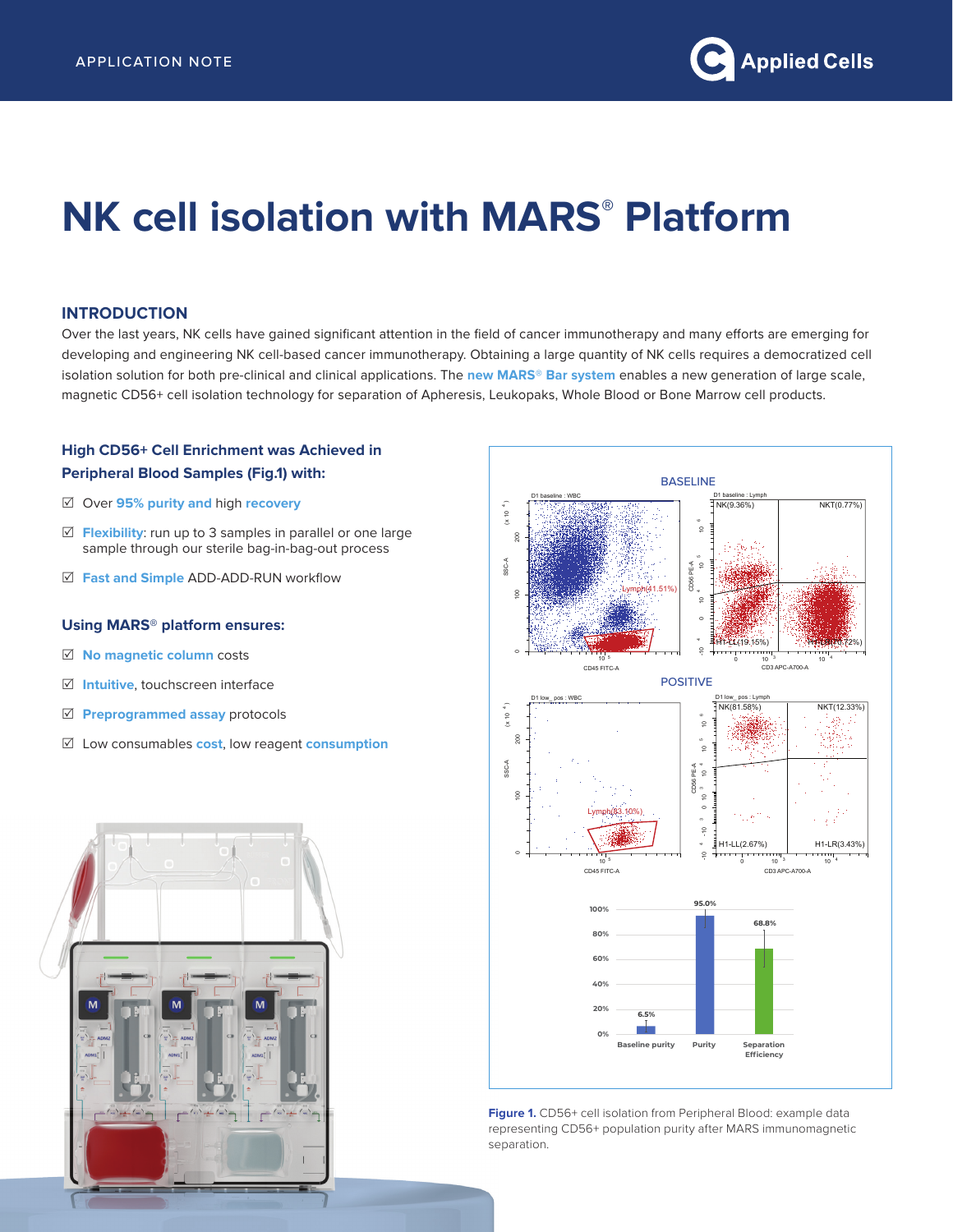# **NK cell isolation with MARS® Platform**

#### **INTRODUCTION**

Over the last years, NK cells have gained significant attention in the field of cancer immunotherapy and many efforts are emerging for developing and engineering NK cell-based cancer immunotherapy. Obtaining a large quantity of NK cells requires a democratized cell isolation solution for both pre-clinical and clinical applications. The **new MARS® Bar system** enables a new generation of large scale, magnetic CD56+ cell isolation technology for separation of Apheresis, Leukopaks, Whole Blood or Bone Marrow cell products.

# **High CD56+ Cell Enrichment was Achieved in Peripheral Blood Samples (Fig.1) with:**

- 5 Over **95% purity and** high **recovery**
- $\triangledown$  **Flexibility:** run up to 3 samples in parallel or one large sample through our sterile bag-in-bag-out process
- 5 **Fast and Simple** ADD-ADD-RUN workflow

## **Using MARS® platform ensures:**

- 5 **No magnetic column** costs
- 5 **Intuitive**, touchscreen interface
- 5 **Preprogrammed assay** protocols
- 5 Low consumables **cost**, low reagent **consumption**





Figure 1. CD56+ cell isolation from Peripheral Blood: example data representing CD56+ population purity after MARS immunomagnetic separation.